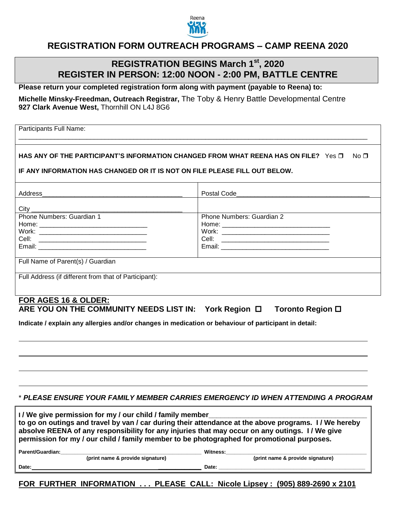

## **REGISTRATION FORM OUTREACH PROGRAMS – CAMP REENA 2020**

## **REGISTRATION BEGINS March 1 st , 2020 REGISTER IN PERSON: 12:00 NOON - 2:00 PM, BATTLE CENTRE**

**Please return your completed registration form along with payment (payable to Reena) to:**

**Michelle Minsky-Freedman, Outreach Registrar,** The Toby & Henry Battle Developmental Centre **927 Clark Avenue West,** Thornhill ON L4J 8G6

Participants Full Name:

#### **HAS ANY OF THE PARTICIPANT'S INFORMATION CHANGED FROM WHAT REENA HAS ON FILE?** Yes  $\Box$  No  $\Box$

\_\_\_\_\_\_\_\_\_\_\_\_\_\_\_\_\_\_\_\_\_\_\_\_\_\_\_\_\_\_\_\_\_\_\_\_\_\_\_\_\_\_\_\_\_\_\_\_\_\_\_\_\_\_\_\_\_\_\_\_\_\_\_\_\_\_\_\_\_\_\_\_\_\_\_\_\_\_\_\_\_\_\_\_\_\_\_\_\_\_\_\_\_\_\_\_\_

**IF ANY INFORMATION HAS CHANGED OR IT IS NOT ON FILE PLEASE FILL OUT BELOW.**

| Address<br><u> 1980 - Jan James James Barnett, fransk politik (d. 1980)</u> |                                                                                                               |
|-----------------------------------------------------------------------------|---------------------------------------------------------------------------------------------------------------|
|                                                                             |                                                                                                               |
| Phone Numbers: Guardian 1                                                   | <b>Phone Numbers: Guardian 2</b>                                                                              |
|                                                                             |                                                                                                               |
|                                                                             |                                                                                                               |
|                                                                             |                                                                                                               |
|                                                                             | Email: 2008 2009 2010 2021 2022 2023 2024 2022 2022 2023 2024 2022 2023 2024 2022 2023 2024 2022 2023 2024 20 |
|                                                                             |                                                                                                               |
| Full Name of Parent(s) / Guardian                                           |                                                                                                               |
|                                                                             |                                                                                                               |
| Full Address (if different from that of Participant):                       |                                                                                                               |
|                                                                             |                                                                                                               |

#### **FOR AGES 16 & OLDER:** ARE YOU ON THE COMMUNITY NEEDS LIST IN: York Region □ Toronto Region □

**Indicate / explain any allergies and/or changes in medication or behaviour of participant in detail:**

#### \* *PLEASE ENSURE YOUR FAMILY MEMBER CARRIES EMERGENCY ID WHEN ATTENDING A PROGRAM*

| I/We give permission for my / our child / family member<br>to go on outings and travel by van / car during their attendance at the above programs. I/ We hereby<br>absolve REENA of any responsibility for any injuries that may occur on any outings. I/We give<br>permission for my / our child / family member to be photographed for promotional purposes. |                                  |
|----------------------------------------------------------------------------------------------------------------------------------------------------------------------------------------------------------------------------------------------------------------------------------------------------------------------------------------------------------------|----------------------------------|
| Parent/Guardian:                                                                                                                                                                                                                                                                                                                                               | Witness:                         |
| (print name & provide signature)                                                                                                                                                                                                                                                                                                                               | (print name & provide signature) |

**Date: \_\_\_\_\_\_\_\_\_\_\_\_\_\_\_ Date: \_\_\_\_\_\_\_\_\_\_\_\_\_\_\_\_\_\_\_\_\_\_\_\_\_\_\_\_\_\_\_\_\_\_\_\_\_\_\_\_\_\_\_\_\_\_\_\_\_\_\_**

**FOR FURTHER INFORMATION . . . PLEASE CALL: Nicole Lipsey : (905) 889-2690 x 2101**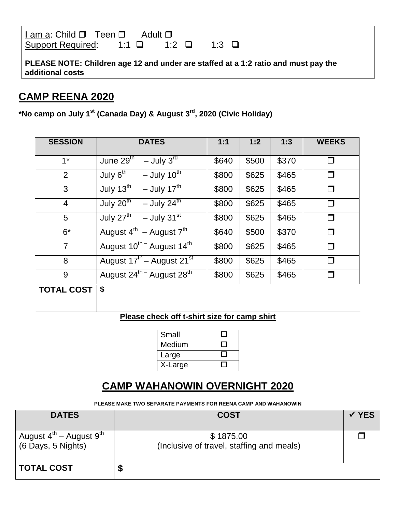| I am a: Child □ Teen □ Adult □                                                |  |  |
|-------------------------------------------------------------------------------|--|--|
| Support Required: $1:1 \quad \square$ $1:2 \quad \square$ $1:3 \quad \square$ |  |  |

**PLEASE NOTE: Children age 12 and under are staffed at a 1:2 ratio and must pay the additional costs**

## **CAMP REENA 2020**

**\*No camp on July 1st (Canada Day) & August 3 rd, 2020 (Civic Holiday)**

| <b>SESSION</b>    | <b>DATES</b>                                          | 1:1   | 1:2   | 1:3   | <b>WEEKS</b> |
|-------------------|-------------------------------------------------------|-------|-------|-------|--------------|
| $1^*$             | $-$ July 3 <sup>rd</sup><br>June $2\overline{9^{th}}$ | \$640 | \$500 | \$370 | $\Box$       |
| 2                 | July 6 <sup>th</sup><br>$-$ July 10 <sup>th</sup>     | \$800 | \$625 | \$465 | $\Box$       |
| 3                 | July $13^{\text{th}}$<br>- July $17^{\text{th}}$      | \$800 | \$625 | \$465 | □            |
| $\overline{4}$    | July $20^{th}$<br>- July $24^{\text{th}}$             | \$800 | \$625 | \$465 | $\Box$       |
| 5                 | July $27^{\text{th}}$ - July $31^{\text{st}}$         | \$800 | \$625 | \$465 | $\Box$       |
| $6*$              | August $4^{th}$ – August $7^{th}$                     | \$640 | \$500 | \$370 | $\Box$       |
| $\overline{7}$    | August 10 <sup>th -</sup> August 14 <sup>th</sup>     | \$800 | \$625 | \$465 | $\Box$       |
| 8                 | August 17 <sup>th</sup> – August 21 <sup>st</sup>     | \$800 | \$625 | \$465 | $\Box$       |
| 9                 | August 24 <sup>th –</sup> August 28 <sup>th</sup>     | \$800 | \$625 | \$465 | ◘            |
| <b>TOTAL COST</b> | \$                                                    |       |       |       |              |
|                   |                                                       |       |       |       |              |

### **Please check off t-shirt size for camp shirt**

| Small   |  |
|---------|--|
| Medium  |  |
| Large   |  |
| X-Large |  |

# **CAMP WAHANOWIN OVERNIGHT 2020**

**PLEASE MAKE TWO SEPARATE PAYMENTS FOR REENA CAMP AND WAHANOWIN**

| <b>DATES</b>                                                          | <b>COST</b>                                            | <b>YES</b> |
|-----------------------------------------------------------------------|--------------------------------------------------------|------------|
| August $4^{\text{th}}$ – August $9^{\text{th}}$<br>(6 Days, 5 Nights) | \$1875.00<br>(Inclusive of travel, staffing and meals) |            |
| <b>TOTAL COST</b>                                                     | D                                                      |            |